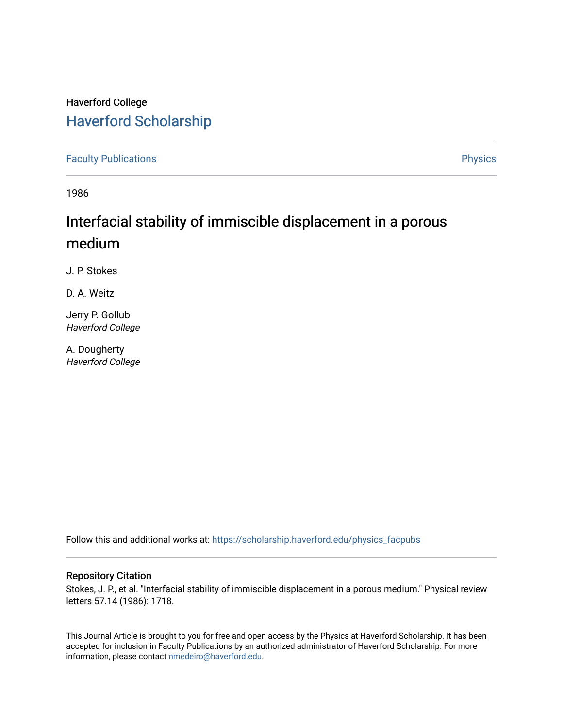## Haverford College [Haverford Scholarship](https://scholarship.haverford.edu/)

[Faculty Publications](https://scholarship.haverford.edu/physics_facpubs) **Physics** 

1986

# Interfacial stability of immiscible displacement in a porous medium

J. P. Stokes

D. A. Weitz

Jerry P. Gollub Haverford College

A. Dougherty Haverford College

Follow this and additional works at: [https://scholarship.haverford.edu/physics\\_facpubs](https://scholarship.haverford.edu/physics_facpubs?utm_source=scholarship.haverford.edu%2Fphysics_facpubs%2F65&utm_medium=PDF&utm_campaign=PDFCoverPages) 

### Repository Citation

Stokes, J. P., et al. "Interfacial stability of immiscible displacement in a porous medium." Physical review letters 57.14 (1986): 1718.

This Journal Article is brought to you for free and open access by the Physics at Haverford Scholarship. It has been accepted for inclusion in Faculty Publications by an authorized administrator of Haverford Scholarship. For more information, please contact [nmedeiro@haverford.edu.](mailto:nmedeiro@haverford.edu)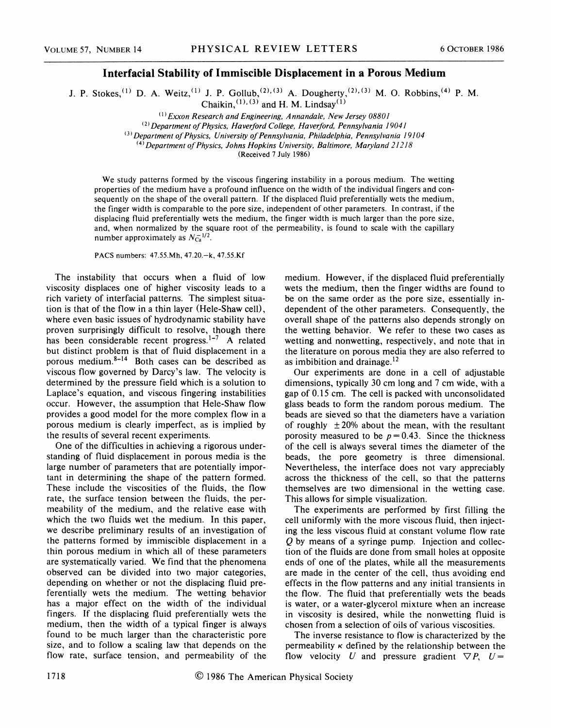#### Interfacial Stability of Immiscible Displacement in a Porous Medium

J. P. Stokes, <sup>(1)</sup> D. A. Weitz, <sup>(1)</sup> J. P. Gollub, <sup>(2)</sup>, <sup>(3)</sup> A. Dougherty, <sup>(2)</sup>, <sup>(3)</sup> M. O. Robbins, <sup>(4)</sup> P. M.

Chaikin,  $(1)$ ,  $(3)$  and H. M. Lindsay<sup>(1)</sup>

 $^{(1)}$  Exxon Research and Engineering, Annandale, New Jersey 08801

 $(2)$  Department of Physics, Haverford College, Haverford, Pennsylvania 19041

 $^{(3)}$  Department of Physics, University of Pennsylvania, Philadelphia, Pennsylvania 19104

 $^{(4)}$ Department of Physics, Johns Hopkins University, Baltimore, Maryland 21218

(Received 7 July 1986)

We study patterns formed by the viscous fingering instability in a porous medium. The wetting properties of the medium have a profound influence on the width of the individual fingers and consequently on the shape of the overall pattern. If the displaced fluid preferentially wets the medium, the finger width is comparable to the pore size, independent of other parameters. In contrast, if the displacing fluid preferentially wets the medium, the finger width is much larger than the pore size, and, when normalized by the square root of the permeability, is found to scale with the capillary number approximately as  $N_{Ca}^{-1/2}$ .

PACS numbers: 47.55.Mh, 47.20.–k, 47.55.Kf

The instability that occurs when a fluid of low viscosity displaces one of higher viscosity leads to a rich variety of interfacial patterns. The simplest situation is that of the flow in a thin layer (Hele-Shaw cell), where even basic issues of hydrodynamic stability have proven surprisingly difficult to resolve, though there has been considerable recent progress.<sup>1-7</sup> A related but distinct problem is that of fluid displacement in a porous medium. $8-14$  Both cases can be described as viscous fiow governed by Darcy's law. The velocity is determined by the pressure field which is a solution to Laplace's equation, and viscous fingering instabilities occur. However, the assumption that Hele-Shaw flow provides a good model for the more complex flow in a porous medium is clearly imperfect, as is implied by the results of several recent experiments.

One of the difficulties in achieving a rigorous understanding of fiuid displacement in porous media is the large number of parameters that are potentially important in determining the shape of the pattern formed. These include the viscosities of the fluids, the flow rate, the surface tension between the fluids, the permeability of the medium, and the relative ease with which the two fluids wet the medium. In this paper, we describe preliminary results of an investigation of the patterns formed by immiscible displacement in a thin porous medium in which all of these parameters are systematically varied. We find that the phenomena observed can be divided into two major categories, depending on whether or not the displacing fluid preferentially wets the medium. The wetting behavior has a major effect on the width of the individual fingers. If the displacing fluid preferentially wets the medium, then the width of a typical finger is always found to be much larger than the characteristic pore size, and to follow a scaling law that depends on the flow rate, surface tension, and permeability of the

medium. However, if the displaced fluid preferentially wets the medium, then the finger widths are found to be on the same order as the pore size, essentially independent of the other parameters. Consequently, the overall shape of the patterns also depends strongly on the wetting behavior. We refer to these two cases as wetting and nonwetting, respectively, and note that in the literature on porous media they are also referred to as imbibition and drainage.  $12$ 

Our experiments are done in a cell of adjustable dimensions, typically 30 cm Iong and 7 cm wide, with a gap of 0.15 cm. The cell is packed with unconsolidated glass beads to form the random porous medium. The beads are sieved so that the diameters have a variation of roughly  $\pm 20\%$  about the mean, with the resultant porosity measured to be  $p = 0.43$ . Since the thickness of the cell is always several times the diameter of the beads, the pore geometry is three dimensional. Nevertheless, the interface does not vary appreciably across the thickness of the cell, so that the patterns themselves are two dimensional in the wetting case. This allows for simple visualization.

The experiments are performed by first filling the cell uniformly with the more viscous fluid, then injecting the less viscous fluid at constant volume flow rate Q by means of a syringe pump. Injection and collection of the fluids are done from small holes at opposite ends of one of the plates, while all the measurements are made in the center of the cell, thus avoiding end effects in the flow patterns and any initial transients in the flow. The fluid that preferentially wets the beads is water, or a water-glycerol mixture when an increase in viscosity is desired, while the nonwetting fluid is chosen from a selection of oils of various viscosities.

The inverse resistance to flow is characterized by the permeability  $\kappa$  defined by the relationship between the flow velocity U and pressure gradient  $\nabla P$ ,  $U =$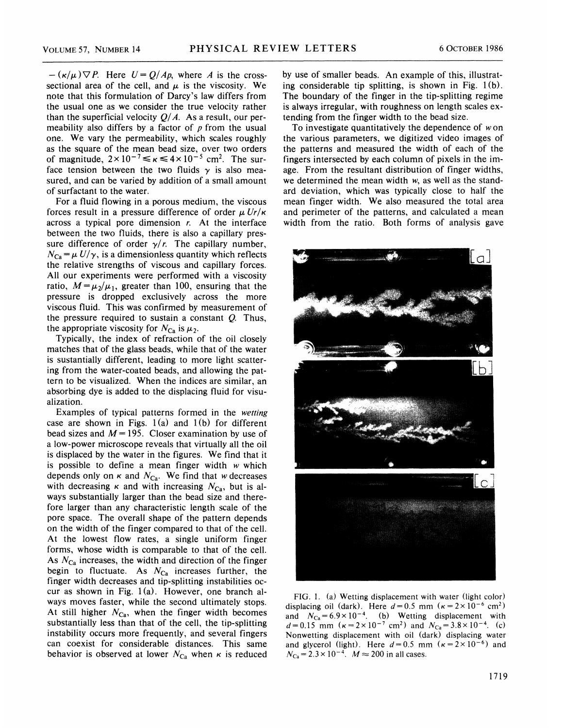$-(\kappa/\mu)\nabla P$ . Here  $U=Q/Ap$ , where A is the crosssectional area of the cell, and  $\mu$  is the viscosity. We note that this formulation of Darcy's law differs from the usual one as we consider the true velocity rather than the superficial velocity  $Q/A$ . As a result, our permeability also differs by a factor of  $p$  from the usual one. We vary the permeability, which scales roughly as the square of the mean bead size, over two orders of magnitude,  $2 \times 10^{-7} \le \kappa \le 4 \times 10^{-5}$  cm<sup>2</sup>. The surface tension between the two fluids  $\gamma$  is also measured, and can be varied by addition of a small amount of surfactant to the water.

For a fluid flowing in a porous medium, the viscous forces result in a pressure difference of order  $\mu$  Ur/ $\kappa$ across a typical pore dimension  $r$ . At the interface between the two fluids, there is also a capillary pressure difference of order  $\gamma/r$ . The capillary number,  $N_{\text{Ca}} = \mu U/\gamma$ , is a dimensionless quantity which reflects the relative strengths of viscous and capillary forces. All our experiments were performed with a viscosity ratio,  $M = \mu_2/\mu_1$ , greater than 100, ensuring that the pressure is dropped exclusively across the more viscous fluid. This was confirmed by measurement of the pressure required to sustain a constant  $Q$ . Thus, the appropriate viscosity for  $N_{Ca}$  is  $\mu_2$ .

Typically, the index of refraction of the oil closely matches that of the glass beads, while that of the water is sustantially different, leading to more light scattering from the water-coated beads, and allowing the pattern to be visualized. When the indices are similar, an absorbing dye is added to the displacing fluid for visualization.

Examples of typical patterns formed in the wetting case are shown in Figs.  $1(a)$  and  $1(b)$  for different bead sizes and  $M = 195$ . Closer examination by use of a low-power microscope reveals that virtually all the oil is displaced by the water in the figures. We find that it is possible to define a mean finger width  $w$  which depends only on  $\kappa$  and  $N_{Ca}$ . We find that w decreases with decreasing  $\kappa$  and with increasing  $N_{Ca}$ , but is always substantially larger than the bead size and therefore larger than any characteristic length scale of the pore space. The overall shape of the pattern depends on the width of the finger compared to that of the cell. At the lowest flow rates, a single uniform finger forms, whose width is comparable to that of the cell. As  $N_{Ca}$  increases, the width and direction of the finger begin to fluctuate. As  $N_{Ca}$  increases further, the finger width decreases and tip-splitting instabilities occur as shown in Fig. 1(a). However, one branch always moves faster, while the second ultimately stops. At still higher  $N_{Ca}$ , when the finger width becomes substantially less than that of the cell, the tip-splitting instability occurs more frequently, and several fingers can coexist for considerable distances. This same behavior is observed at lower  $N_{\text{Ca}}$  when  $\kappa$  is reduced by use of smaller beads. An example of this, illustrating considerable tip splitting, is shown in Fig. 1(b). The boundary of the finger in the tip-splitting regime is always irregular, with roughness on length scales extending from the finger width to the bead size.

To investigate quantitatively the dependence of  $w$  on the various parameters, we digitized video images of the patterns and measured the width of each of the fingers intersected by each column of pixels in the image. From the resultant distribution of finger widths, we determined the mean width w, as well as the standard deviation, which was typically close to half the mean finger width. We also measured the total area and perimeter of the patterns, and calculated a mean width from the ratio. Both forms of analysis gave



FIG. 1. (a) Wetting displacement with water (light color) displacing oil (dark). Here  $d=0.5$  mm ( $\kappa = 2 \times 10^{-6}$  cm<sup>2</sup>) and  $N_{Ca} = 6.9 \times 10^{-4}$ . (b) Wetting displacement with  $d=0.15$  mm ( $\kappa = 2 \times 10^{-7}$  cm<sup>2</sup>) and  $N_{Ca} = 3.8 \times 10^{-4}$ . (c) Nonwetting displacement with oil (dark) displacing water and glycerol (light). Here  $d=0.5$  mm ( $\kappa = 2 \times 10^{-6}$ ) and  $N_{\text{Ca}} = 2.3 \times 10^{-4}$ .  $M \approx 200$  in all cases.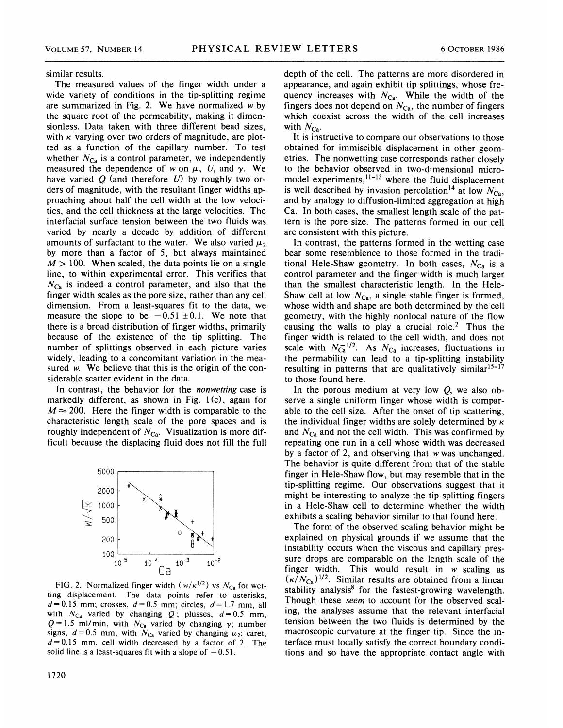#### similar results.

The measured values of the finger width under a wide variety of conditions in the tip-splitting regime are summarized in Fig. 2. We have normalized  $w$  by the square root of the permeability, making it dimensionless. Data taken with three different bead sizes, with  $\kappa$  varying over two orders of magnitude, are plotted as a function of the capillary number. To test whether  $N_{Ca}$  is a control parameter, we independently measured the dependence of w on  $\mu$ , U, and  $\gamma$ . We have varied  $Q$  (and therefore U) by roughly two orders of magnitude, with the resultant finger widths approaching about half the cell width at the low velocities, and the cell thickness at the large velocities. The interfacial surface tension between the two fluids was varied by nearly a decade by addition of different amounts of surfactant to the water. We also varied  $\mu_2$ by more than a factor of 5, but always maintained  $M > 100$ . When scaled, the data points lie on a single line, to within experimental error. This verifies that  $N_{Ca}$  is indeed a control parameter, and also that the finger width scales as the pore size, rather than any cell dimension. From a least-squares fit to the data, we measure the slope to be  $-0.51 \pm 0.1$ . We note that there is a broad distribution of finger widths, primarily because of the existence of the tip splitting. The number of splittings observed in each picture varies widely, leading to a concomitant variation in the measured  $w$ . We believe that this is the origin of the considerable scatter evident in the data.

In contrast, the behavior for the nonwetting case is markedly different, as shown in Fig.  $1(c)$ , again for  $M \approx 200$ . Here the finger width is comparable to the characteristic length scale of the pore spaces and is roughly independent of  $N_{Ca}$ . Visualization is more difficult because the displacing fluid does not fill the full



FIG. 2. Normalized finger width  $(w/\kappa^{1/2})$  vs  $N_{Ca}$  for wetting displacement. The data points refer to asterisks,  $d=0.15$  mm; crosses,  $d=0.5$  mm; circles,  $d=1.7$  mm, all with  $N_{Ca}$  varied by changing Q; plusses,  $d = 0.5$  mm<br>Q = 1.5 ml/min, with  $N_{Ca}$  varied by changing  $\gamma$ ; number signs,  $d=0.5$  mm, with  $N_{Ca}$  varied by changing  $\mu_2$ ; caret  $d=0.15$  mm, cell width decreased by a factor of 2. The solid line is a least-squares fit with a slope of  $-0.51$ .

depth of the cell. The patterns are more disordered in appearance, and again exhibit tip splittings, whose frequency increases with  $N_{Ca}$ . While the width of the fingers does not depend on  $N_{Ca}$ , the number of finger which coexist across the width of the cell increases with  $N_{Ca}$ .

It is instructive to compare our observations to those obtained for immiscible displacement in other geometries. The nonwetting case corresponds rather closely to the behavior observed in two-dimensional microto the behavior observed in two-dimensional micromodel experiments,  $1^{1-13}$  where the fluid displacements is well described by invasion percolation<sup>14</sup> at low  $N_{Ca}$ , and by analogy to diffusion-limited aggregation at high Ca. In both cases, the smallest length scale of the pattern is the pore size. The patterns formed in our cell are consistent with this picture.

In contrast, the patterns formed in the wetting case bear some resernblence to those formed in the traditional Hele-Shaw geometry. In both cases,  $N_{Ca}$  is a control parameter and the finger width is much larger than the smallest characteristic length. In the Hele-Shaw cell at low  $N_{Ca}$ , a single stable finger is formed, whose width and shape are both determined by the cell geometry, with the highly nonlocal nature of the flow causing the walls to play a crucial role.<sup>2</sup> Thus the finger width is related to the cell width, and does not scale with  $N_{Ca}^{-1/2}$ . As  $N_{Ca}$  increases, fluctuations in the permability can lead to a tip-splitting instabilit resulting in patterns that are qualitatively similar<sup>15-17</sup> to those found here.

In the porous medium at very low  $Q$ , we also observe a single uniform finger whose width is comparable to the cell size. After the onset of tip scattering, the individual finger widths are solely determined by  $\kappa$ and  $N_{Ca}$  and not the cell width. This was confirmed by repeating one run in a cell whose width was decreased by a factor of 2, and observing that <sup>w</sup> was unchanged. The behavior is quite different from that of the stable finger in Hele-Shaw flow, but may resemble that in the tip-splitting regime. Our observations suggest that it might be interesting to analyze the tip-splitting fingers in a Hele-Shaw cell to determine whether the width exhibits a scaling behavior similar to that found here.

The form of the observed scaling behavior might be explained on physical grounds if we assume that the instability occurs when the viscous and capillary pressure drops are comparable on the length scale of the finger width. This would result in  $w$  scaling as  $(\kappa/N_{\text{Ca}})^{1/2}$ . Similar results are obtained from a linear stability analysis $<sup>8</sup>$  for the fastest-growing wavelength.</sup> Though these seem to account for the observed scaling, the analyses assume that the relevant interfacial tension between the two fluids is determined by the macroscopic curvature at the finger tip. Since the interface must locally satisfy the correct boundary conditions and so have the appropriate contact angle with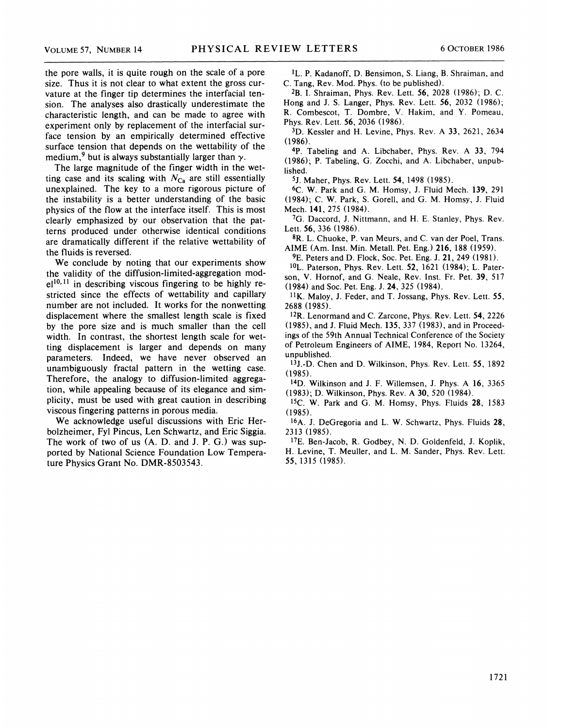the pore walls, it is quite rough on the scale of a pore size. Thus it is not clear to what extent the gross curvature at the finger tip determines the interfacial tension. The analyses also drastically underestimate the characteristic length, and can be made to agree with experiment only by replacement of the interfacial surface tension by an empirically determined effective surface tension that depends on the wettability of the medium,<sup>9</sup> but is always substantially larger than  $\gamma$ .

The large magnitude of the finger width in the wetting case and its scaling with  $N_{Ca}$  are still essentially unexplained. The key to a more rigorous picture of the instability is a better understanding of the basic physics of the flow at the interface itself. This is most clearly emphasized by our observation that the patterns produced under otherwise identical conditions are dramatically different if the relative wettability of the fluids is reversed.

We conclude by noting that our experiments show the validity of the diffusion-limited-aggregation mod $el^{10,11}$  in describing viscous fingering to be highly restricted since the effects of wettability and capillary number are not included. It works for the nonwetting displacement where the smallest length scale is fixed by the pore size and is much smaller than the cell width. In contrast, the shortest length scale for wetting displacement is larger and depends on many parameters. Indeed, we have never observed an unambiguously fractal pattern in the wetting case. Therefore, the analogy to diffusion-limited aggregation, while appealing because of its elegance and simplicity, must be used with great caution in describing viscous fingering patterns in porous media.

We acknowledge useful discussions with Eric Herbolzheimer, Fyl Pincus, Len Schwartz, and Eric Siggia. The work of two of us (A. D. and J. P. G.) was supported by National Science Foundation Low Temperature Physics Grant No. DMR-8503543.

'L. P. Kadanoff, D. Bensimon, S. Liang, B. Shraiman, and C. Tang, Rev. Mod. Phys. (to be published).

28. I. Shraiman, Phys. Rev. Lett. 56, 2028 (1986); D. C. Hong and J. S. Langer, Phys. Rev. Lett. 56, 2032 (1986); R. Combescot, T. Dornbre, V. Hakim, and Y. Pomeau, Phys. Rev. Lett. 56, 2036 (1986).

D. Kessler and H. Levine, Phys. Rev. A 33, 2621, 2634 (1986).

4P. Tabeling and A. Libchaber, Phys. Rev. A 33, 794  $(1986)$ ; P. Tabeling, G. Zocchi, and A. Libchaber, unpublished.

sJ. Maher, Phys. Rev. Lett. 54, 1498 (1985).

6C. %. Park and G. M. Hornsy, J. Fluid Mech. 139, 291 (1984); C. W. Park, S. Gorell, and G. M. Homsy, J. Fluid Mech. 141, 275 (1984).

<sup>7</sup>G. Daccord, J. Nittmann, and H. E. Stanley, Phys. Rev. Lett. 56, 336 (1986).

8R. L. Chuoke, P. van Meurs, and C. van der Poel, Trans. AIME (Am. Inst. Min. Metall. Pet. Eng. ) 216, 188 (1959).

9E. Peters and D. Flock, Soc. Pet. Eng. J. 21, 249 (1981).

ioL. Paterson, Phys. Rev. Lett. 52, 1621 (1984); L. Paterson, V. Hornof, and G. Neale, Rev. Inst. Fr. Pet. 39, 517

(1984) and Soc. Pet. Eng. J. 24, 325 (1984).  $<sup>11</sup>K$ . Maloy, J. Feder, and T. Jossang, Phys. Rev. Lett. 55,</sup>

2688 (1985).

<sup>12</sup>R. Lenormand and C. Zarcone, Phys. Rev. Lett. 54, 2226 (1985), and J. Fluid Mech. 135, 337 (1983), and in Proceedings of the 59th Annual Technical Conference of the Society of Petroleum Engineers of AIME, 1984, Report No. 13264, unpublished.

<sup>13</sup>J.-D. Chen and D. Wilkinson, Phys. Rev. Lett. 55, 1892 (1985).

<sup>14</sup>D. Wilkinson and J. F. Willemsen, J. Phys. A 16, 3365 (1983);D. wilkinson, Phys. Rev. A 30, 520 (1984).

<sup>15</sup>C. W. Park and G. M. Homsy, Phys. Fluids 28, 1583 (1985).

 $16A$ . J. DeGregoria and L. W. Schwartz, Phys. Fluids 28, 2313 (1985).

<sup>17</sup>E. Ben-Jacob, R. Godbey, N. D. Goldenfeld, J. Koplik, H. Levine, T. Meuller, and L. M. Sander, Phys. Rev. Lett. 55, 1315 (1985).